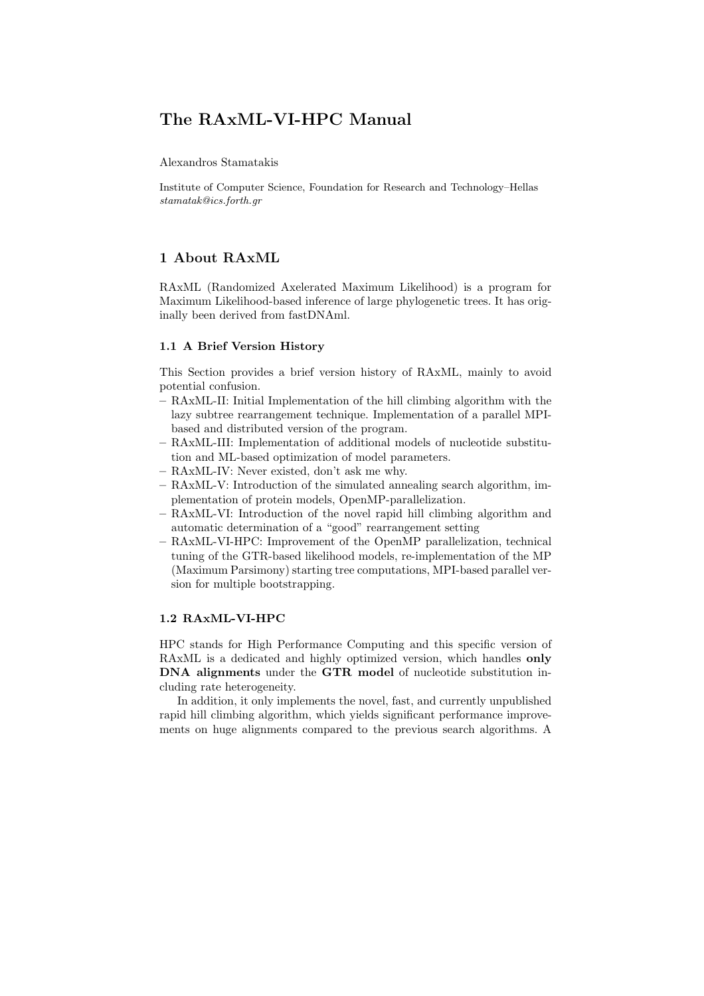# The RAxML-VI-HPC Manual

Alexandros Stamatakis

Institute of Computer Science, Foundation for Research and Technology–Hellas stamatak@ics.forth.gr

# 1 About RAxML

RAxML (Randomized Axelerated Maximum Likelihood) is a program for Maximum Likelihood-based inference of large phylogenetic trees. It has originally been derived from fastDNAml.

## 1.1 A Brief Version History

This Section provides a brief version history of RAxML, mainly to avoid potential confusion.

- RAxML-II: Initial Implementation of the hill climbing algorithm with the lazy subtree rearrangement technique. Implementation of a parallel MPIbased and distributed version of the program.
- RAxML-III: Implementation of additional models of nucleotide substitution and ML-based optimization of model parameters.
- RAxML-IV: Never existed, don't ask me why.
- RAxML-V: Introduction of the simulated annealing search algorithm, implementation of protein models, OpenMP-parallelization.
- RAxML-VI: Introduction of the novel rapid hill climbing algorithm and automatic determination of a "good" rearrangement setting
- RAxML-VI-HPC: Improvement of the OpenMP parallelization, technical tuning of the GTR-based likelihood models, re-implementation of the MP (Maximum Parsimony) starting tree computations, MPI-based parallel version for multiple bootstrapping.

# 1.2 RAxML-VI-HPC

HPC stands for High Performance Computing and this specific version of RAxML is a dedicated and highly optimized version, which handles only DNA alignments under the GTR model of nucleotide substitution including rate heterogeneity.

In addition, it only implements the novel, fast, and currently unpublished rapid hill climbing algorithm, which yields significant performance improvements on huge alignments compared to the previous search algorithms. A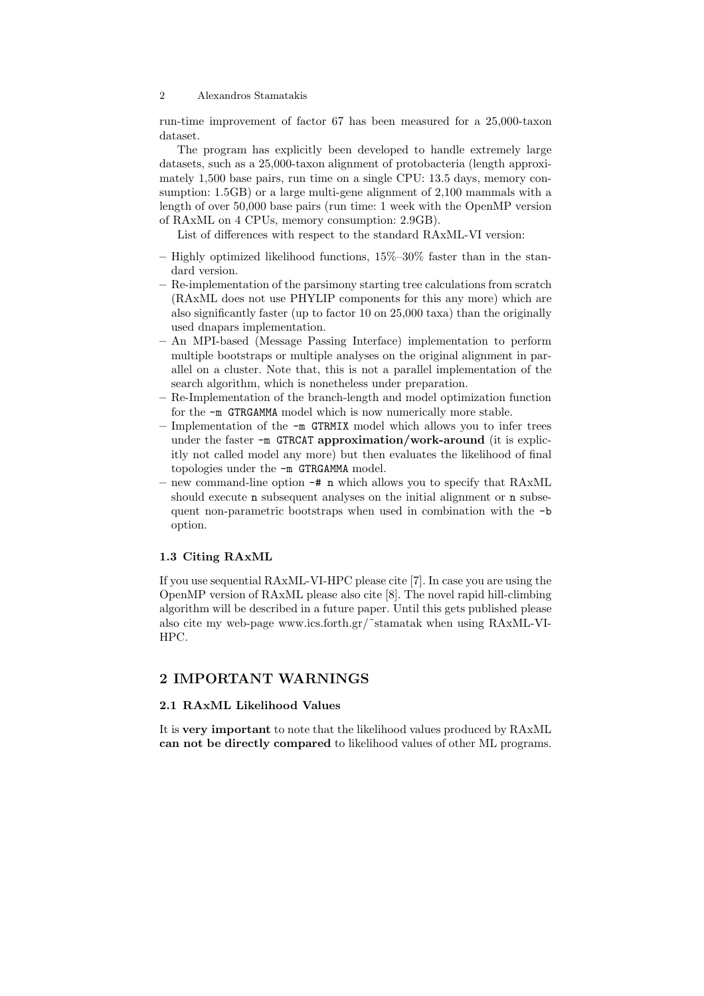run-time improvement of factor 67 has been measured for a 25,000-taxon dataset.

The program has explicitly been developed to handle extremely large datasets, such as a 25,000-taxon alignment of protobacteria (length approximately 1,500 base pairs, run time on a single CPU: 13.5 days, memory consumption: 1.5GB) or a large multi-gene alignment of 2,100 mammals with a length of over 50,000 base pairs (run time: 1 week with the OpenMP version of RAxML on 4 CPUs, memory consumption: 2.9GB).

List of differences with respect to the standard RAxML-VI version:

- Highly optimized likelihood functions,  $15\%$ – $30\%$  faster than in the standard version.
- Re-implementation of the parsimony starting tree calculations from scratch (RAxML does not use PHYLIP components for this any more) which are also significantly faster (up to factor 10 on 25,000 taxa) than the originally used dnapars implementation.
- An MPI-based (Message Passing Interface) implementation to perform multiple bootstraps or multiple analyses on the original alignment in parallel on a cluster. Note that, this is not a parallel implementation of the search algorithm, which is nonetheless under preparation.
- Re-Implementation of the branch-length and model optimization function for the -m GTRGAMMA model which is now numerically more stable.
- Implementation of the -m GTRMIX model which allows you to infer trees under the faster -m GTRCAT approximation/work-around (it is explicitly not called model any more) but then evaluates the likelihood of final topologies under the -m GTRGAMMA model.
- new command-line option -# n which allows you to specify that RAxML should execute **n** subsequent analyses on the initial alignment or **n** subsequent non-parametric bootstraps when used in combination with the -b option.

## 1.3 Citing RAxML

If you use sequential RAxML-VI-HPC please cite [7]. In case you are using the OpenMP version of RAxML please also cite [8]. The novel rapid hill-climbing algorithm will be described in a future paper. Until this gets published please also cite my web-page www.ics.forth.gr/˜stamatak when using RAxML-VI-HPC.

# 2 IMPORTANT WARNINGS

# 2.1 RAxML Likelihood Values

It is very important to note that the likelihood values produced by RAxML can not be directly compared to likelihood values of other ML programs.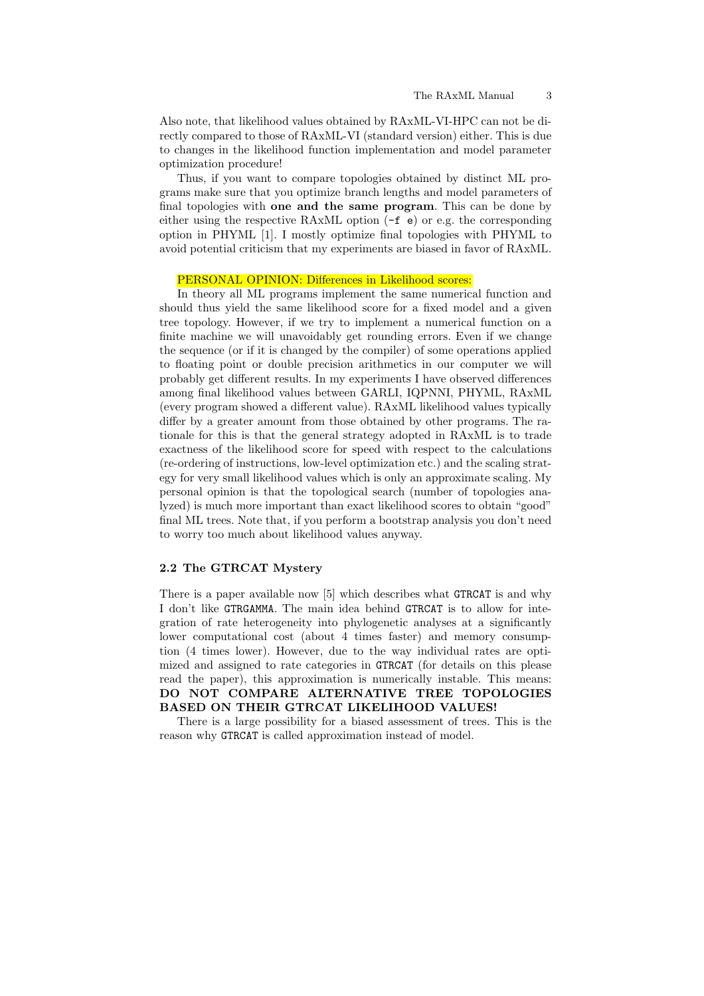Also note, that likelihood values obtained by RAxML-VI-HPC can not be directly compared to those of RAxML-VI (standard version) either. This is due to changes in the likelihood function implementation and model parameter optimization procedure!

Thus, if you want to compare topologies obtained by distinct ML programs make sure that you optimize branch lengths and model parameters of final topologies with one and the same program. This can be done by either using the respective RAxML option (-f e) or e.g. the corresponding option in PHYML [1]. I mostly optimize final topologies with PHYML to avoid potential criticism that my experiments are biased in favor of RAxML.

### PERSONAL OPINION: Differences in Likelihood scores:

In theory all ML programs implement the same numerical function and should thus yield the same likelihood score for a fixed model and a given tree topology. However, if we try to implement a numerical function on a finite machine we will unavoidably get rounding errors. Even if we change the sequence (or if it is changed by the compiler) of some operations applied to floating point or double precision arithmetics in our computer we will probably get different results. In my experiments I have observed differences among final likelihood values between GARLI, IQPNNI, PHYML, RAxML (every program showed a different value). RAxML likelihood values typically differ by a greater amount from those obtained by other programs. The rationale for this is that the general strategy adopted in RAxML is to trade exactness of the likelihood score for speed with respect to the calculations (re-ordering of instructions, low-level optimization etc.) and the scaling strategy for very small likelihood values which is only an approximate scaling. My personal opinion is that the topological search (number of topologies analyzed) is much more important than exact likelihood scores to obtain "good" final ML trees. Note that, if you perform a bootstrap analysis you don't need to worry too much about likelihood values anyway.

### 2.2 The GTRCAT Mystery

There is a paper available now [5] which describes what GTRCAT is and why I don't like GTRGAMMA. The main idea behind GTRCAT is to allow for integration of rate heterogeneity into phylogenetic analyses at a significantly lower computational cost (about 4 times faster) and memory consumption (4 times lower). However, due to the way individual rates are optimized and assigned to rate categories in GTRCAT (for details on this please read the paper), this approximation is numerically instable. This means: DO NOT COMPARE ALTERNATIVE TREE TOPOLOGIES BASED ON THEIR GTRCAT LIKELIHOOD VALUES!

There is a large possibility for a biased assessment of trees. This is the reason why GTRCAT is called approximation instead of model.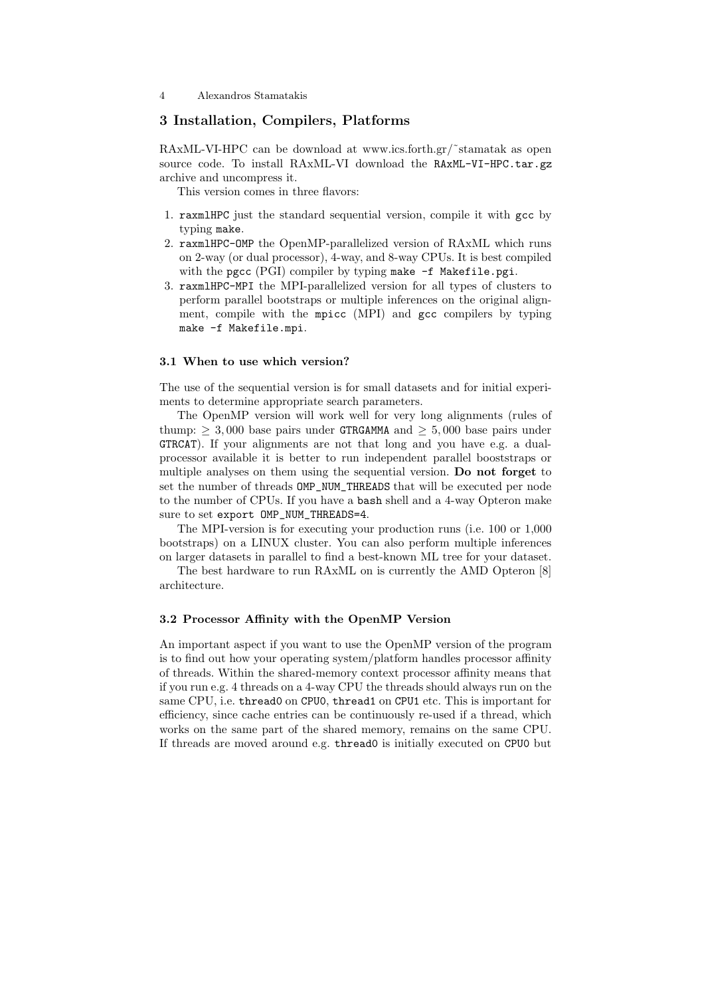# 3 Installation, Compilers, Platforms

RAxML-VI-HPC can be download at www.ics.forth.gr/˜stamatak as open source code. To install RAxML-VI download the RAxML-VI-HPC.tar.gz archive and uncompress it.

This version comes in three flavors:

- 1. raxmlHPC just the standard sequential version, compile it with gcc by typing make.
- 2. raxmlHPC-OMP the OpenMP-parallelized version of RAxML which runs on 2-way (or dual processor), 4-way, and 8-way CPUs. It is best compiled with the pgcc (PGI) compiler by typing make -f Makefile.pgi.
- 3. raxmlHPC-MPI the MPI-parallelized version for all types of clusters to perform parallel bootstraps or multiple inferences on the original alignment, compile with the mpicc (MPI) and gcc compilers by typing make -f Makefile.mpi.

#### 3.1 When to use which version?

The use of the sequential version is for small datasets and for initial experiments to determine appropriate search parameters.

The OpenMP version will work well for very long alignments (rules of thump:  $\geq 3,000$  base pairs under GTRGAMMA and  $\geq 5,000$  base pairs under GTRCAT). If your alignments are not that long and you have e.g. a dualprocessor available it is better to run independent parallel booststraps or multiple analyses on them using the sequential version. Do not forget to set the number of threads OMP\_NUM\_THREADS that will be executed per node to the number of CPUs. If you have a bash shell and a 4-way Opteron make sure to set export OMP NUM THREADS=4.

The MPI-version is for executing your production runs (i.e. 100 or 1,000 bootstraps) on a LINUX cluster. You can also perform multiple inferences on larger datasets in parallel to find a best-known ML tree for your dataset.

The best hardware to run RAxML on is currently the AMD Opteron [8] architecture.

#### 3.2 Processor Affinity with the OpenMP Version

An important aspect if you want to use the OpenMP version of the program is to find out how your operating system/platform handles processor affinity of threads. Within the shared-memory context processor affinity means that if you run e.g. 4 threads on a 4-way CPU the threads should always run on the same CPU, i.e. thread0 on CPU0, thread1 on CPU1 etc. This is important for efficiency, since cache entries can be continuously re-used if a thread, which works on the same part of the shared memory, remains on the same CPU. If threads are moved around e.g. thread0 is initially executed on CPU0 but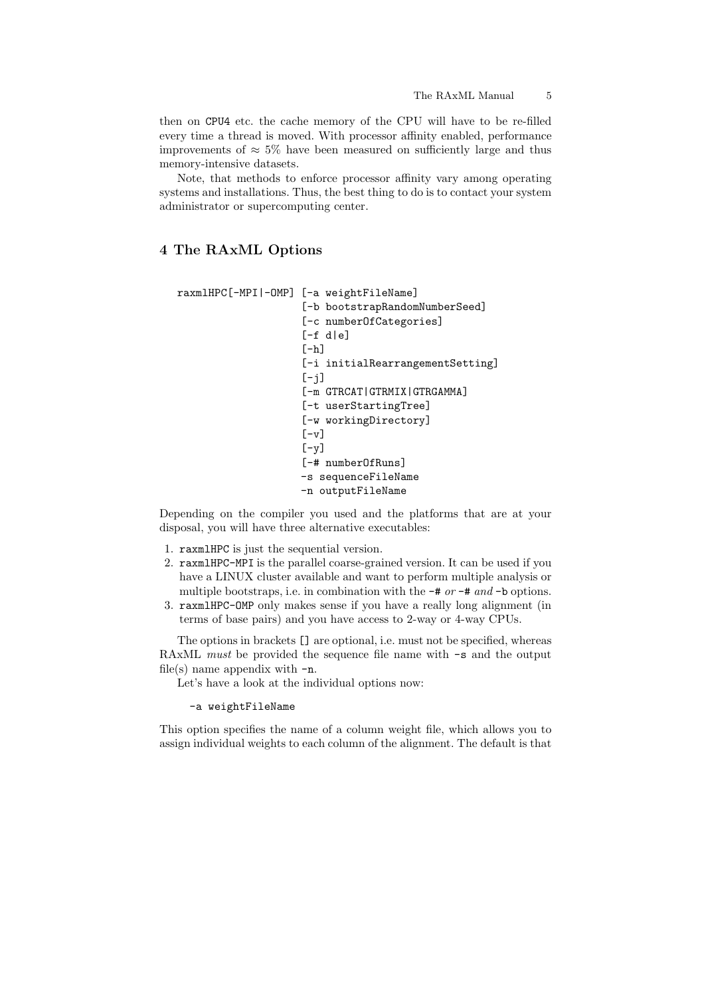then on CPU4 etc. the cache memory of the CPU will have to be re-filled every time a thread is moved. With processor affinity enabled, performance improvements of  $\approx 5\%$  have been measured on sufficiently large and thus memory-intensive datasets.

Note, that methods to enforce processor affinity vary among operating systems and installations. Thus, the best thing to do is to contact your system administrator or supercomputing center.

# 4 The RAxML Options

```
raxmlHPC[-MPI|-OMP] [-a weightFileName]
                    [-b bootstrapRandomNumberSeed]
                    [-c numberOfCategories]
                    [-f \ d|e][-h][-i initialRearrangementSetting]
                    [-j][-m GTRCAT|GTRMIX|GTRGAMMA]
                    [-t userStartingTree]
                    [-w workingDirectory]
                    [-v][-y][-# numberOfRuns]
                    -s sequenceFileName
                    -n outputFileName
```
Depending on the compiler you used and the platforms that are at your disposal, you will have three alternative executables:

- 1. raxmlHPC is just the sequential version.
- 2. raxmlHPC-MPI is the parallel coarse-grained version. It can be used if you have a LINUX cluster available and want to perform multiple analysis or multiple bootstraps, i.e. in combination with the  $-\#$  or  $-\#$  and  $-\mathbf{b}$  options.
- 3. raxmlHPC-OMP only makes sense if you have a really long alignment (in terms of base pairs) and you have access to 2-way or 4-way CPUs.

The options in brackets [] are optional, i.e. must not be specified, whereas RAxML must be provided the sequence file name with  $-s$  and the output file(s) name appendix with  $-n$ .

Let's have a look at the individual options now:

#### -a weightFileName

This option specifies the name of a column weight file, which allows you to assign individual weights to each column of the alignment. The default is that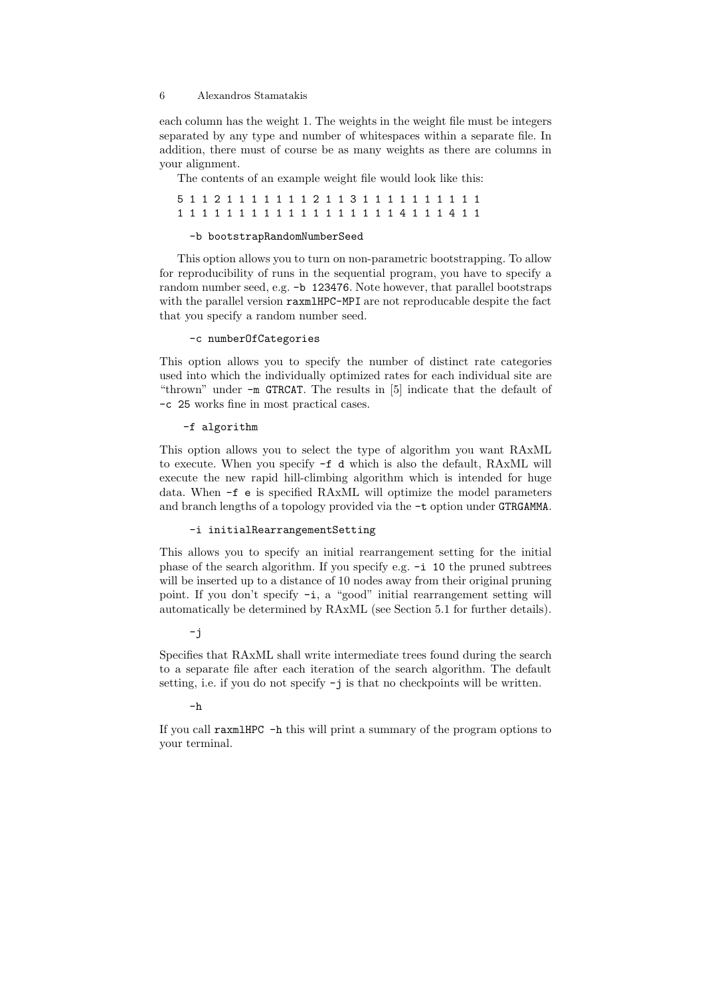each column has the weight 1. The weights in the weight file must be integers separated by any type and number of whitespaces within a separate file. In addition, there must of course be as many weights as there are columns in your alignment.

The contents of an example weight file would look like this:

|  |  |  |  |  |  |  |  |  |  |  | 1 1 1 1 1 1 1 1 1 1 1 1 1 1 1 1 1 4 1 1 1 4 1 1 |  |
|--|--|--|--|--|--|--|--|--|--|--|-------------------------------------------------|--|

#### -b bootstrapRandomNumberSeed

This option allows you to turn on non-parametric bootstrapping. To allow for reproducibility of runs in the sequential program, you have to specify a random number seed, e.g. -b 123476. Note however, that parallel bootstraps with the parallel version raxmlHPC-MPI are not reproducable despite the fact that you specify a random number seed.

#### -c numberOfCategories

This option allows you to specify the number of distinct rate categories used into which the individually optimized rates for each individual site are "thrown" under -m GTRCAT. The results in [5] indicate that the default of -c 25 works fine in most practical cases.

#### -f algorithm

This option allows you to select the type of algorithm you want RAxML to execute. When you specify -f d which is also the default, RAxML will execute the new rapid hill-climbing algorithm which is intended for huge data. When -f e is specified RAxML will optimize the model parameters and branch lengths of a topology provided via the -t option under GTRGAMMA.

### -i initialRearrangementSetting

This allows you to specify an initial rearrangement setting for the initial phase of the search algorithm. If you specify e.g. -i 10 the pruned subtrees will be inserted up to a distance of 10 nodes away from their original pruning point. If you don't specify -i, a "good" initial rearrangement setting will automatically be determined by RAxML (see Section 5.1 for further details).

## -j

Specifies that RAxML shall write intermediate trees found during the search to a separate file after each iteration of the search algorithm. The default setting, i.e. if you do not specify -j is that no checkpoints will be written.

#### $-h$

If you call raxmlHPC -h this will print a summary of the program options to your terminal.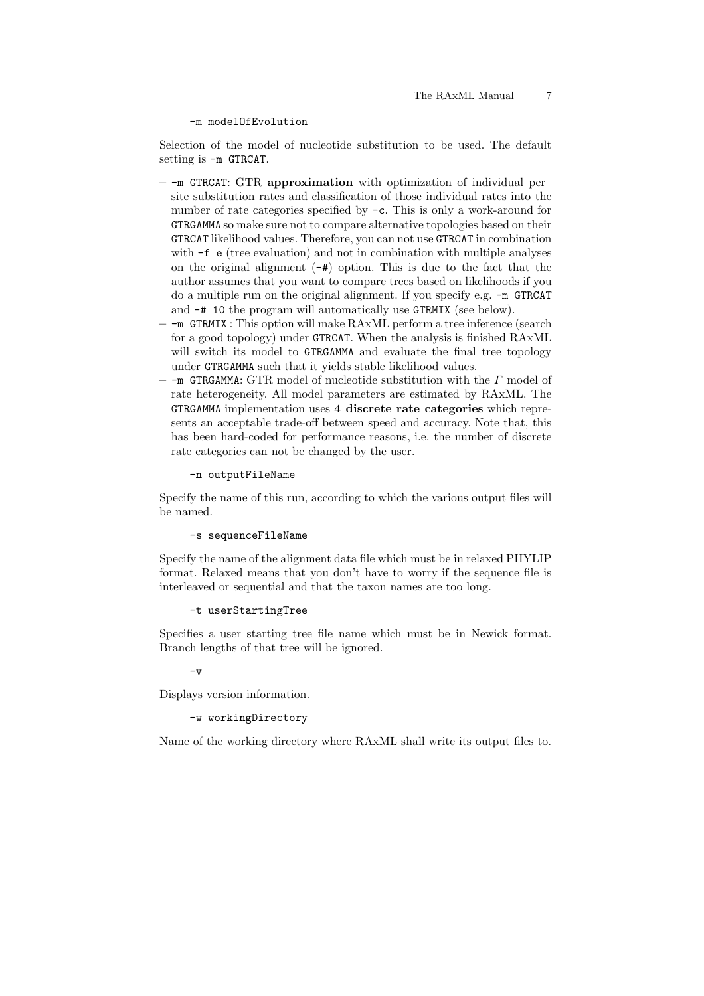#### -m modelOfEvolution

Selection of the model of nucleotide substitution to be used. The default setting is -m GTRCAT.

- $-$ -m GTRCAT: GTR approximation with optimization of individual persite substitution rates and classification of those individual rates into the number of rate categories specified by -c. This is only a work-around for GTRGAMMA so make sure not to compare alternative topologies based on their GTRCAT likelihood values. Therefore, you can not use GTRCAT in combination with  $-f$  e (tree evaluation) and not in combination with multiple analyses on the original alignment  $(-\#)$  option. This is due to the fact that the author assumes that you want to compare trees based on likelihoods if you do a multiple run on the original alignment. If you specify e.g. -m GTRCAT and -# 10 the program will automatically use GTRMIX (see below).
- -m GTRMIX : This option will make RAxML perform a tree inference (search for a good topology) under GTRCAT. When the analysis is finished RAxML will switch its model to GTRGAMMA and evaluate the final tree topology under GTRGAMMA such that it yields stable likelihood values.
- -m GTRGAMMA: GTR model of nucleotide substitution with the Γ model of rate heterogeneity. All model parameters are estimated by RAxML. The GTRGAMMA implementation uses 4 discrete rate categories which represents an acceptable trade-off between speed and accuracy. Note that, this has been hard-coded for performance reasons, i.e. the number of discrete rate categories can not be changed by the user.

-n outputFileName

Specify the name of this run, according to which the various output files will be named.

#### -s sequenceFileName

Specify the name of the alignment data file which must be in relaxed PHYLIP format. Relaxed means that you don't have to worry if the sequence file is interleaved or sequential and that the taxon names are too long.

-t userStartingTree

Specifies a user starting tree file name which must be in Newick format. Branch lengths of that tree will be ignored.

 $-v$ 

Displays version information.

# -w workingDirectory

Name of the working directory where RAxML shall write its output files to.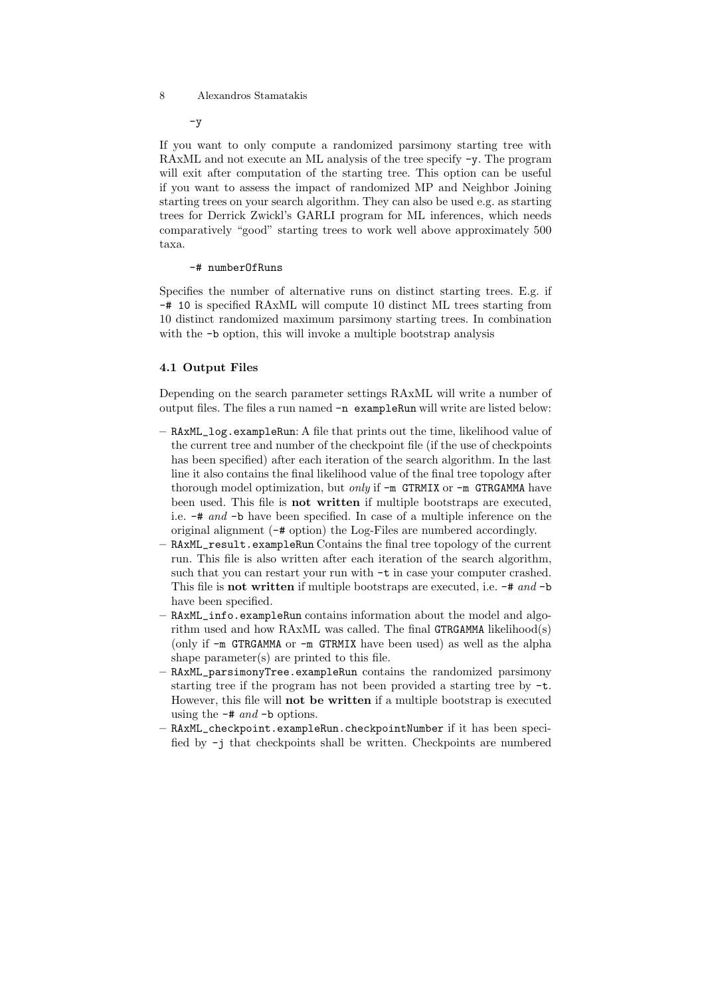$-v$ 

If you want to only compute a randomized parsimony starting tree with RAxML and not execute an ML analysis of the tree specify -y. The program will exit after computation of the starting tree. This option can be useful if you want to assess the impact of randomized MP and Neighbor Joining starting trees on your search algorithm. They can also be used e.g. as starting trees for Derrick Zwickl's GARLI program for ML inferences, which needs comparatively "good" starting trees to work well above approximately 500 taxa.

#### -# numberOfRuns

Specifies the number of alternative runs on distinct starting trees. E.g. if -# 10 is specified RAxML will compute 10 distinct ML trees starting from 10 distinct randomized maximum parsimony starting trees. In combination with the  $\neg$ b option, this will invoke a multiple bootstrap analysis

# 4.1 Output Files

Depending on the search parameter settings RAxML will write a number of output files. The files a run named -n exampleRun will write are listed below:

- RAxML\_log.exampleRun: A file that prints out the time, likelihood value of the current tree and number of the checkpoint file (if the use of checkpoints has been specified) after each iteration of the search algorithm. In the last line it also contains the final likelihood value of the final tree topology after thorough model optimization, but *only* if  $-m$  GTRMIX or  $-m$  GTRGAMMA have been used. This file is not written if multiple bootstraps are executed, i.e. -# and -b have been specified. In case of a multiple inference on the original alignment (-# option) the Log-Files are numbered accordingly.
- RAxML\_result.exampleRun Contains the final tree topology of the current run. This file is also written after each iteration of the search algorithm, such that you can restart your run with -t in case your computer crashed. This file is **not written** if multiple bootstraps are executed, i.e.  $-\#$  and  $-\mathbf{b}$ have been specified.
- RAxML\_info.exampleRun contains information about the model and algorithm used and how RAxML was called. The final GTRGAMMA likelihood(s) (only if -m GTRGAMMA or -m GTRMIX have been used) as well as the alpha shape parameter(s) are printed to this file.
- RAxML\_parsimonyTree.exampleRun contains the randomized parsimony starting tree if the program has not been provided a starting tree by -t. However, this file will not be written if a multiple bootstrap is executed using the  $-\#$  and  $-\mathbf{b}$  options.
- RAxML\_checkpoint.exampleRun.checkpointNumber if it has been specified by -j that checkpoints shall be written. Checkpoints are numbered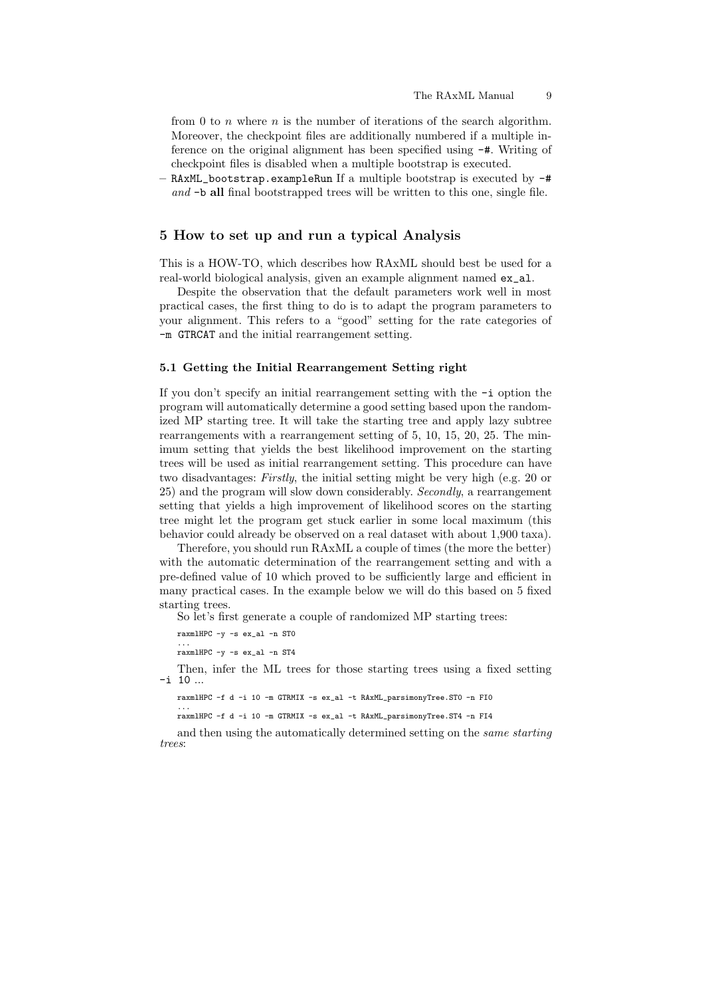from 0 to  $n$  where  $n$  is the number of iterations of the search algorithm. Moreover, the checkpoint files are additionally numbered if a multiple inference on the original alignment has been specified using -#. Writing of checkpoint files is disabled when a multiple bootstrap is executed.

– RAxML\_bootstrap.exampleRun If a multiple bootstrap is executed by -# and  $\neg$  **all** final bootstrapped trees will be written to this one, single file.

## 5 How to set up and run a typical Analysis

This is a HOW-TO, which describes how RAxML should best be used for a real-world biological analysis, given an example alignment named ex\_al.

Despite the observation that the default parameters work well in most practical cases, the first thing to do is to adapt the program parameters to your alignment. This refers to a "good" setting for the rate categories of -m GTRCAT and the initial rearrangement setting.

#### 5.1 Getting the Initial Rearrangement Setting right

If you don't specify an initial rearrangement setting with the -i option the program will automatically determine a good setting based upon the randomized MP starting tree. It will take the starting tree and apply lazy subtree rearrangements with a rearrangement setting of 5, 10, 15, 20, 25. The minimum setting that yields the best likelihood improvement on the starting trees will be used as initial rearrangement setting. This procedure can have two disadvantages: Firstly, the initial setting might be very high (e.g. 20 or 25) and the program will slow down considerably. Secondly, a rearrangement setting that yields a high improvement of likelihood scores on the starting tree might let the program get stuck earlier in some local maximum (this behavior could already be observed on a real dataset with about 1,900 taxa).

Therefore, you should run RAxML a couple of times (the more the better) with the automatic determination of the rearrangement setting and with a pre-defined value of 10 which proved to be sufficiently large and efficient in many practical cases. In the example below we will do this based on 5 fixed starting trees.

So let's first generate a couple of randomized MP starting trees:

raxmlHPC -y -s ex\_al -n ST0

... raxmlHPC -y -s ex\_al -n ST4

Then, infer the ML trees for those starting trees using a fixed setting -i 10 ...

raxmlHPC -f d -i 10 -m GTRMIX -s ex\_al -t RAxML\_parsimonyTree.ST0 -n FI0

... raxmlHPC -f d -i 10 -m GTRMIX -s ex\_al -t RAxML\_parsimonyTree.ST4 -n FI4

and then using the automatically determined setting on the same starting trees: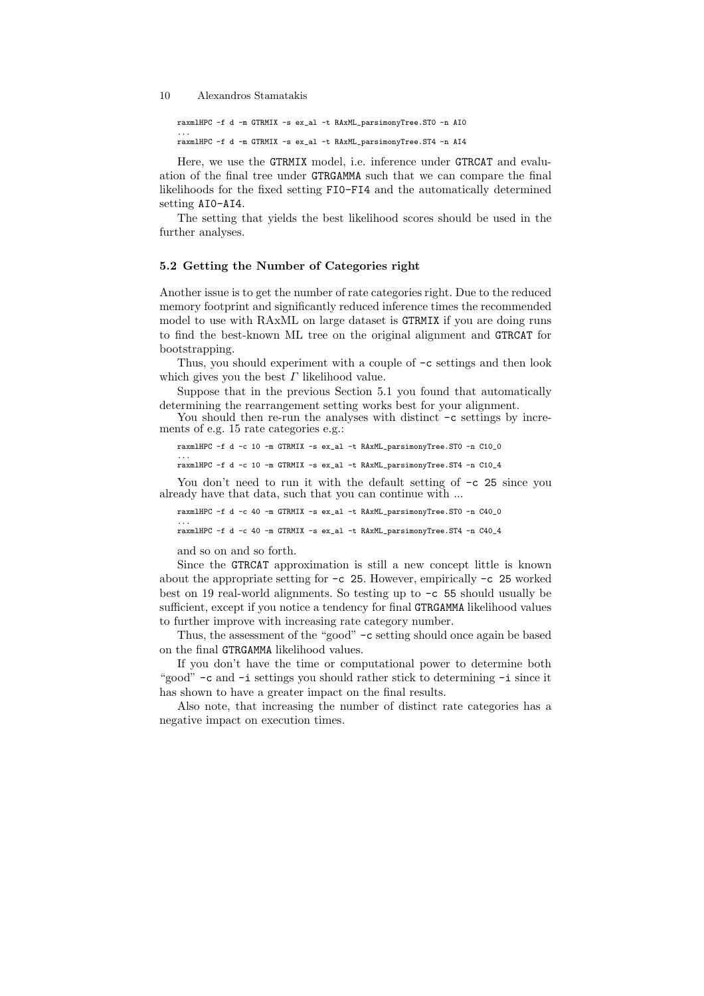raxmlHPC -f d -m GTRMIX -s ex\_al -t RAxML\_parsimonyTree.ST0 -n AI0 ... raxmlHPC -f d -m GTRMIX -s ex\_al -t RAxML\_parsimonyTree.ST4 -n AI4

Here, we use the GTRMIX model, i.e. inference under GTRCAT and evaluation of the final tree under GTRGAMMA such that we can compare the final likelihoods for the fixed setting FI0-FI4 and the automatically determined setting AI0-AI4.

The setting that yields the best likelihood scores should be used in the further analyses.

# 5.2 Getting the Number of Categories right

Another issue is to get the number of rate categories right. Due to the reduced memory footprint and significantly reduced inference times the recommended model to use with RAxML on large dataset is GTRMIX if you are doing runs to find the best-known ML tree on the original alignment and GTRCAT for bootstrapping.

Thus, you should experiment with a couple of -c settings and then look which gives you the best  $\Gamma$  likelihood value.

Suppose that in the previous Section 5.1 you found that automatically determining the rearrangement setting works best for your alignment.

You should then re-run the analyses with distinct  $-c$  settings by increments of e.g. 15 rate categories e.g.:

raxmlHPC -f d -c 10 -m GTRMIX -s ex\_al -t RAxML\_parsimonyTree.ST0 -n C10\_0 ... raxmlHPC -f d -c 10 -m GTRMIX -s ex\_al -t RAxML\_parsimonyTree.ST4 -n C10\_4

You don't need to run it with the default setting of  $-c$  25 since you already have that data, such that you can continue with ...

raxmlHPC -f d -c 40 -m GTRMIX -s ex\_al -t RAxML\_parsimonyTree.ST0 -n C40\_0

... raxmlHPC -f d -c 40 -m GTRMIX -s ex\_al -t RAxML\_parsimonyTree.ST4 -n C40\_4

and so on and so forth.

```
Since the GTRCAT approximation is still a new concept little is known
about the appropriate setting for -c 25. However, empirically -c 25 worked
best on 19 real-world alignments. So testing up to -c 55 should usually be
sufficient, except if you notice a tendency for final GTRGAMMA likelihood values
to further improve with increasing rate category number.
```
Thus, the assessment of the "good" -c setting should once again be based on the final GTRGAMMA likelihood values.

If you don't have the time or computational power to determine both "good" -c and -i settings you should rather stick to determining -i since it has shown to have a greater impact on the final results.

Also note, that increasing the number of distinct rate categories has a negative impact on execution times.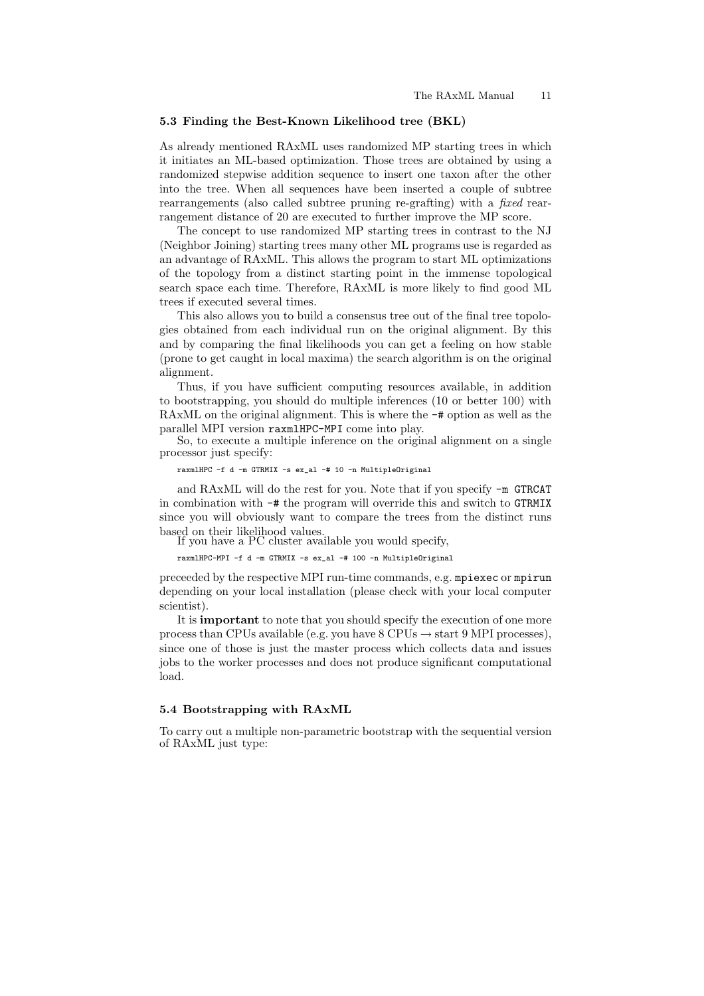# 5.3 Finding the Best-Known Likelihood tree (BKL)

As already mentioned RAxML uses randomized MP starting trees in which it initiates an ML-based optimization. Those trees are obtained by using a randomized stepwise addition sequence to insert one taxon after the other into the tree. When all sequences have been inserted a couple of subtree rearrangements (also called subtree pruning re-grafting) with a fixed rearrangement distance of 20 are executed to further improve the MP score.

The concept to use randomized MP starting trees in contrast to the NJ (Neighbor Joining) starting trees many other ML programs use is regarded as an advantage of RAxML. This allows the program to start ML optimizations of the topology from a distinct starting point in the immense topological search space each time. Therefore, RAxML is more likely to find good ML trees if executed several times.

This also allows you to build a consensus tree out of the final tree topologies obtained from each individual run on the original alignment. By this and by comparing the final likelihoods you can get a feeling on how stable (prone to get caught in local maxima) the search algorithm is on the original alignment.

Thus, if you have sufficient computing resources available, in addition to bootstrapping, you should do multiple inferences (10 or better 100) with RAxML on the original alignment. This is where the -# option as well as the parallel MPI version raxmlHPC-MPI come into play.

So, to execute a multiple inference on the original alignment on a single processor just specify:

raxmlHPC -f d -m GTRMIX -s ex\_al -# 10 -n MultipleOriginal

and RAxML will do the rest for you. Note that if you specify -m GTRCAT in combination with -# the program will override this and switch to GTRMIX since you will obviously want to compare the trees from the distinct runs based on their likelihood values.

If you have a PC cluster available you would specify,

raxmlHPC-MPI -f d -m GTRMIX -s ex\_al -# 100 -n MultipleOriginal

preceeded by the respective MPI run-time commands, e.g. mpiexec or mpirun depending on your local installation (please check with your local computer scientist).

It is important to note that you should specify the execution of one more process than CPUs available (e.g. you have  $8 \text{ CPUs} \rightarrow \text{start } 9 \text{ MPI processes}$ ), since one of those is just the master process which collects data and issues jobs to the worker processes and does not produce significant computational load.

#### 5.4 Bootstrapping with RAxML

To carry out a multiple non-parametric bootstrap with the sequential version of RAxML just type: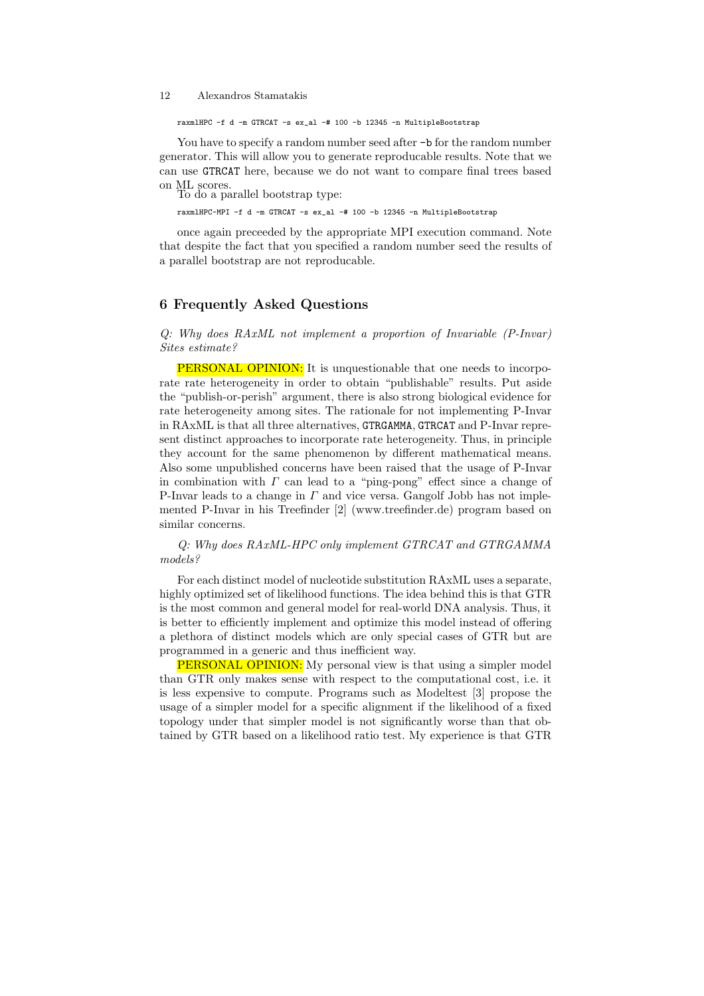raxmlHPC -f d -m GTRCAT -s ex\_al -# 100 -b 12345 -n MultipleBootstrap

You have to specify a random number seed after  $-\mathbf{b}$  for the random number generator. This will allow you to generate reproducable results. Note that we can use GTRCAT here, because we do not want to compare final trees based on ML scores.

To do a parallel bootstrap type:

raxmlHPC-MPI -f d -m GTRCAT -s ex\_al -# 100 -b 12345 -n MultipleBootstrap

once again preceeded by the appropriate MPI execution command. Note that despite the fact that you specified a random number seed the results of a parallel bootstrap are not reproducable.

# 6 Frequently Asked Questions

Q: Why does RAxML not implement a proportion of Invariable (P-Invar) Sites estimate?

**PERSONAL OPINION:** It is unquestionable that one needs to incorporate rate heterogeneity in order to obtain "publishable" results. Put aside the "publish-or-perish" argument, there is also strong biological evidence for rate heterogeneity among sites. The rationale for not implementing P-Invar in RAxML is that all three alternatives, GTRGAMMA, GTRCAT and P-Invar represent distinct approaches to incorporate rate heterogeneity. Thus, in principle they account for the same phenomenon by different mathematical means. Also some unpublished concerns have been raised that the usage of P-Invar in combination with  $\Gamma$  can lead to a "ping-pong" effect since a change of P-Invar leads to a change in  $\Gamma$  and vice versa. Gangolf Jobb has not implemented P-Invar in his Treefinder [2] (www.treefinder.de) program based on similar concerns.

Q: Why does RAxML-HPC only implement GTRCAT and GTRGAMMA models?

For each distinct model of nucleotide substitution RAxML uses a separate, highly optimized set of likelihood functions. The idea behind this is that GTR is the most common and general model for real-world DNA analysis. Thus, it is better to efficiently implement and optimize this model instead of offering a plethora of distinct models which are only special cases of GTR but are programmed in a generic and thus inefficient way.

PERSONAL OPINION: My personal view is that using a simpler model than GTR only makes sense with respect to the computational cost, i.e. it is less expensive to compute. Programs such as Modeltest [3] propose the usage of a simpler model for a specific alignment if the likelihood of a fixed topology under that simpler model is not significantly worse than that obtained by GTR based on a likelihood ratio test. My experience is that GTR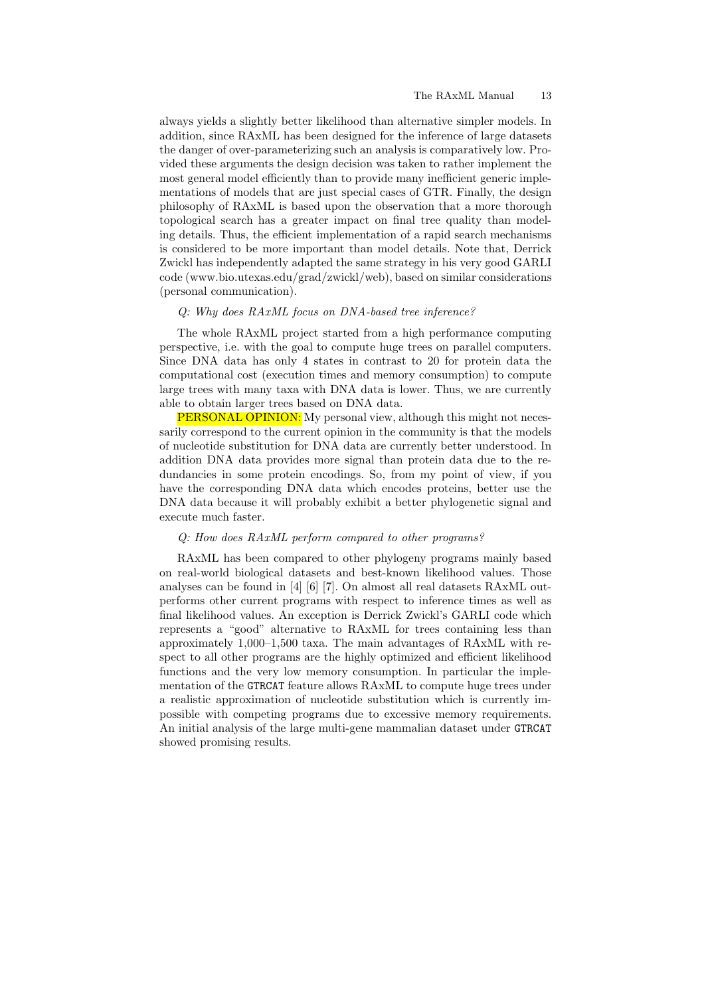always yields a slightly better likelihood than alternative simpler models. In addition, since RAxML has been designed for the inference of large datasets the danger of over-parameterizing such an analysis is comparatively low. Provided these arguments the design decision was taken to rather implement the most general model efficiently than to provide many inefficient generic implementations of models that are just special cases of GTR. Finally, the design philosophy of RAxML is based upon the observation that a more thorough topological search has a greater impact on final tree quality than modeling details. Thus, the efficient implementation of a rapid search mechanisms is considered to be more important than model details. Note that, Derrick Zwickl has independently adapted the same strategy in his very good GARLI code (www.bio.utexas.edu/grad/zwickl/web), based on similar considerations (personal communication).

#### Q: Why does RAxML focus on DNA-based tree inference?

The whole RAxML project started from a high performance computing perspective, i.e. with the goal to compute huge trees on parallel computers. Since DNA data has only 4 states in contrast to 20 for protein data the computational cost (execution times and memory consumption) to compute large trees with many taxa with DNA data is lower. Thus, we are currently able to obtain larger trees based on DNA data.

**PERSONAL OPINION:** My personal view, although this might not necessarily correspond to the current opinion in the community is that the models of nucleotide substitution for DNA data are currently better understood. In addition DNA data provides more signal than protein data due to the redundancies in some protein encodings. So, from my point of view, if you have the corresponding DNA data which encodes proteins, better use the DNA data because it will probably exhibit a better phylogenetic signal and execute much faster.

## Q: How does RAxML perform compared to other programs?

RAxML has been compared to other phylogeny programs mainly based on real-world biological datasets and best-known likelihood values. Those analyses can be found in [4] [6] [7]. On almost all real datasets RAxML outperforms other current programs with respect to inference times as well as final likelihood values. An exception is Derrick Zwickl's GARLI code which represents a "good" alternative to RAxML for trees containing less than approximately 1,000–1,500 taxa. The main advantages of RAxML with respect to all other programs are the highly optimized and efficient likelihood functions and the very low memory consumption. In particular the implementation of the GTRCAT feature allows RAxML to compute huge trees under a realistic approximation of nucleotide substitution which is currently impossible with competing programs due to excessive memory requirements. An initial analysis of the large multi-gene mammalian dataset under GTRCAT showed promising results.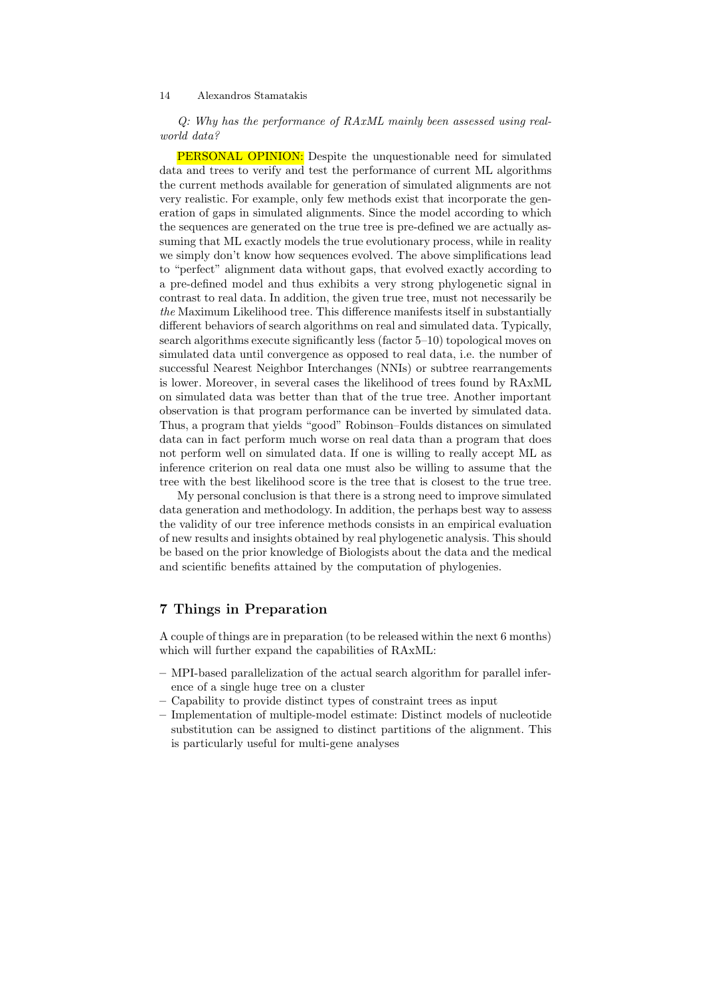Q: Why has the performance of RAxML mainly been assessed using realworld data?

PERSONAL OPINION: Despite the unquestionable need for simulated data and trees to verify and test the performance of current ML algorithms the current methods available for generation of simulated alignments are not very realistic. For example, only few methods exist that incorporate the generation of gaps in simulated alignments. Since the model according to which the sequences are generated on the true tree is pre-defined we are actually assuming that ML exactly models the true evolutionary process, while in reality we simply don't know how sequences evolved. The above simplifications lead to "perfect" alignment data without gaps, that evolved exactly according to a pre-defined model and thus exhibits a very strong phylogenetic signal in contrast to real data. In addition, the given true tree, must not necessarily be the Maximum Likelihood tree. This difference manifests itself in substantially different behaviors of search algorithms on real and simulated data. Typically, search algorithms execute significantly less (factor 5–10) topological moves on simulated data until convergence as opposed to real data, i.e. the number of successful Nearest Neighbor Interchanges (NNIs) or subtree rearrangements is lower. Moreover, in several cases the likelihood of trees found by RAxML on simulated data was better than that of the true tree. Another important observation is that program performance can be inverted by simulated data. Thus, a program that yields "good" Robinson–Foulds distances on simulated data can in fact perform much worse on real data than a program that does not perform well on simulated data. If one is willing to really accept ML as inference criterion on real data one must also be willing to assume that the tree with the best likelihood score is the tree that is closest to the true tree.

My personal conclusion is that there is a strong need to improve simulated data generation and methodology. In addition, the perhaps best way to assess the validity of our tree inference methods consists in an empirical evaluation of new results and insights obtained by real phylogenetic analysis. This should be based on the prior knowledge of Biologists about the data and the medical and scientific benefits attained by the computation of phylogenies.

# 7 Things in Preparation

A couple of things are in preparation (to be released within the next 6 months) which will further expand the capabilities of RAxML:

- MPI-based parallelization of the actual search algorithm for parallel inference of a single huge tree on a cluster
- Capability to provide distinct types of constraint trees as input
- Implementation of multiple-model estimate: Distinct models of nucleotide substitution can be assigned to distinct partitions of the alignment. This is particularly useful for multi-gene analyses